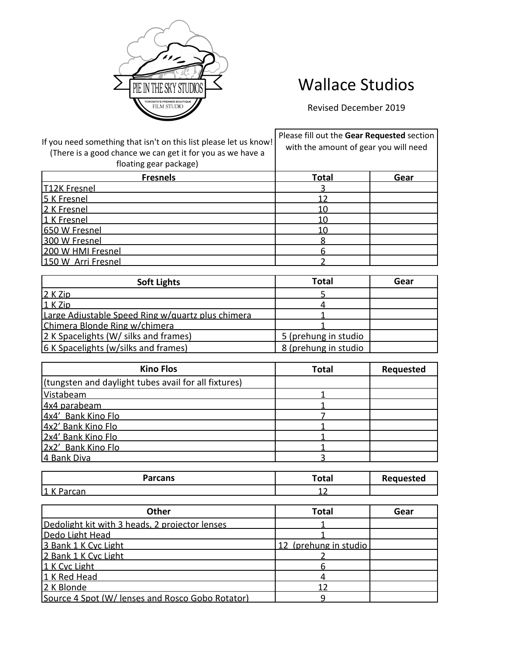

## Wallace Studios

Revised December 2019

| If you need something that isn't on this list please let us know!<br>(There is a good chance we can get it for you as we have a<br>floating gear package) | Please fill out the Gear Requested section<br>with the amount of gear you will need |      |
|-----------------------------------------------------------------------------------------------------------------------------------------------------------|-------------------------------------------------------------------------------------|------|
| <b>Fresnels</b>                                                                                                                                           | <b>Total</b>                                                                        | Gear |
| <b>T12K Fresnel</b>                                                                                                                                       |                                                                                     |      |
| 5 K Fresnel                                                                                                                                               |                                                                                     |      |
| 2 K Fresnel                                                                                                                                               | 10                                                                                  |      |
| 1 K Fresnel                                                                                                                                               | 10                                                                                  |      |
| 650 W Fresnel                                                                                                                                             | 10                                                                                  |      |
| 300 W Fresnel                                                                                                                                             |                                                                                     |      |
| 200 W HMI Fresnel                                                                                                                                         |                                                                                     |      |
| 150 W Arri Fresnel                                                                                                                                        |                                                                                     |      |

| <b>Soft Lights</b>                                | Total                | Gear |
|---------------------------------------------------|----------------------|------|
| 2 K Zip                                           |                      |      |
| 1 K Zip                                           |                      |      |
| Large Adjustable Speed Ring w/quartz plus chimera |                      |      |
| Chimera Blonde Ring w/chimera                     |                      |      |
| 2 K Spacelights (W/ silks and frames)             | 5 (prehung in studio |      |
| 6 K Spacelights (w/silks and frames)              | 8 (prehung in studio |      |

| <b>Kino Flos</b>                                     | <b>Total</b> | <b>Requested</b> |
|------------------------------------------------------|--------------|------------------|
| (tungsten and daylight tubes avail for all fixtures) |              |                  |
| Vistabeam                                            |              |                  |
| 4x4 parabeam                                         |              |                  |
| 4x4' Bank Kino Flo                                   |              |                  |
| 4x2' Bank Kino Flo                                   |              |                  |
| 2x4' Bank Kino Flo                                   |              |                  |
| 2x2' Bank Kino Flo                                   |              |                  |
| 4 Bank Diva                                          |              |                  |

| <b>Parcans</b>       | Total | Requested |
|----------------------|-------|-----------|
| 11 V<br>1 T V<br>.aı | --    |           |

| Other                                            | <b>Total</b>          | Gear |
|--------------------------------------------------|-----------------------|------|
| Dedolight kit with 3 heads, 2 projector lenses   |                       |      |
| Dedo Light Head                                  |                       |      |
| 3 Bank 1 K Cyc Light                             | 12 (prehung in studio |      |
| 2 Bank 1 K Cyc Light                             |                       |      |
| 1 K Cyc Light                                    |                       |      |
| 1 K Red Head                                     |                       |      |
| 2 K Blonde                                       |                       |      |
| Source 4 Spot (W/ lenses and Rosco Gobo Rotator) |                       |      |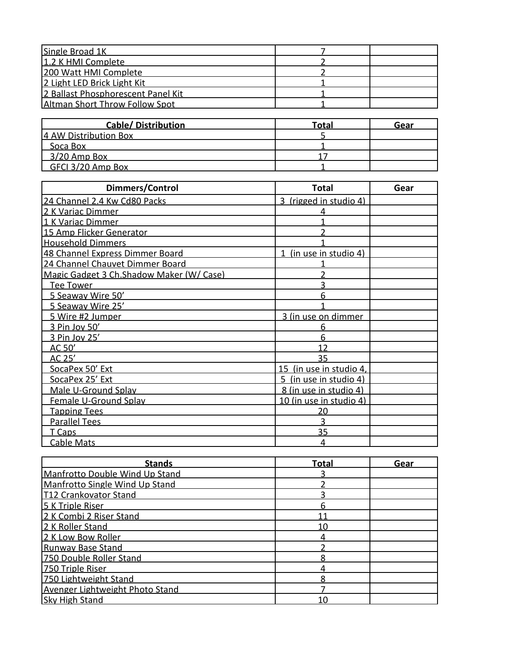| Single Broad 1K                    |  |
|------------------------------------|--|
| 1.2 K HMI Complete                 |  |
| 200 Watt HMI Complete              |  |
| 2 Light LED Brick Light Kit        |  |
| 2 Ballast Phosphorescent Panel Kit |  |
| Altman Short Throw Follow Spot     |  |

| <b>Cable/Distribution</b> | Total | Gear |
|---------------------------|-------|------|
| 4 AW Distribution Box     |       |      |
| Soca Box                  |       |      |
| 3/20 Amp Box              |       |      |
| GFCI 3/20 Amp Box         |       |      |

| Dimmers/Control                           | <b>Total</b>              | Gear |
|-------------------------------------------|---------------------------|------|
| 24 Channel 2.4 Kw Cd80 Packs              | ζ<br>(rigged in studio 4) |      |
| 2 K Variac Dimmer                         |                           |      |
| 1 K Variac Dimmer                         |                           |      |
| 15 Amp Flicker Generator                  |                           |      |
| <b>Household Dimmers</b>                  |                           |      |
| 48 Channel Express Dimmer Board           | (in use in studio 4)      |      |
| 24 Channel Chauvet Dimmer Board           |                           |      |
| Magic Gadget 3 Ch. Shadow Maker (W/ Case) |                           |      |
| Tee Tower                                 |                           |      |
| 5 Seaway Wire 50'                         | 6                         |      |
| 5 Seaway Wire 25'                         |                           |      |
| 5 Wire #2 Jumper                          | 3 (in use on dimmer       |      |
| 3 Pin Joy 50'                             |                           |      |
| 3 Pin Joy 25'                             | 6                         |      |
| AC 50'                                    | 12                        |      |
| AC 25'                                    | 35                        |      |
| SocaPex 50' Ext                           | 15 (in use in studio 4,   |      |
| SocaPex 25' Ext                           | 5 (in use in studio 4)    |      |
| Male U-Ground Splav                       | 8 (in use in studio 4)    |      |
| Female U-Ground Splay                     | 10 (in use in studio 4)   |      |
| <b>Tapping Tees</b>                       | 20                        |      |
| <b>Parallel Tees</b>                      |                           |      |
| T Caps                                    | 35                        |      |
| <b>Cable Mats</b>                         |                           |      |

| <b>Stands</b>                   | <b>Total</b> | Gear |
|---------------------------------|--------------|------|
| Manfrotto Double Wind Up Stand  |              |      |
| Manfrotto Single Wind Up Stand  |              |      |
| <b>T12 Crankovator Stand</b>    |              |      |
| 5 K Triple Riser                |              |      |
| 2 K Combi 2 Riser Stand         |              |      |
| 2 K Roller Stand                | 10           |      |
| 2 K Low Bow Roller              |              |      |
| <b>Runway Base Stand</b>        |              |      |
| 750 Double Roller Stand         |              |      |
| 750 Triple Riser                |              |      |
| 750 Lightweight Stand           |              |      |
| Avenger Lightweight Photo Stand |              |      |
| <b>Sky High Stand</b>           |              |      |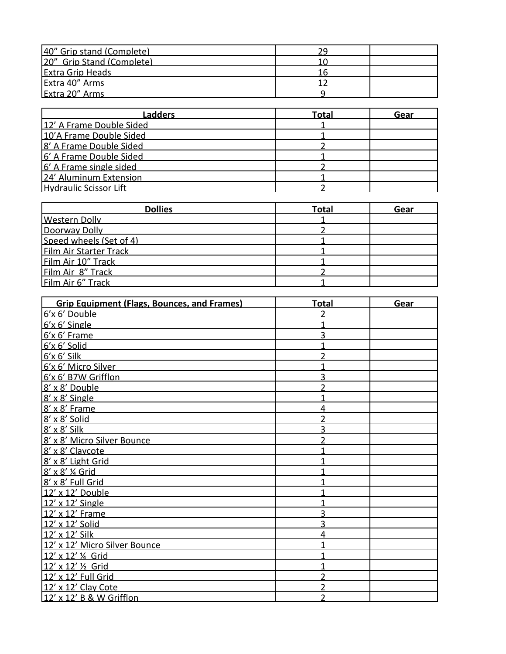| 40" Grip stand (Complete) |  |
|---------------------------|--|
| 20" Grip Stand (Complete) |  |
| <b>Extra Grip Heads</b>   |  |
| Extra 40" Arms            |  |
| Extra 20" Arms            |  |

| Ladders                       | Total | Gear |
|-------------------------------|-------|------|
| 12' A Frame Double Sided      |       |      |
| 10'A Frame Double Sided       |       |      |
| 8' A Frame Double Sided       |       |      |
| 6' A Frame Double Sided       |       |      |
| 6' A Frame single sided       |       |      |
| 24' Aluminum Extension        |       |      |
| <b>Hydraulic Scissor Lift</b> |       |      |

| <b>Dollies</b>          | <b>Total</b> | Gear |
|-------------------------|--------------|------|
| <b>Western Dolly</b>    |              |      |
| Doorway Dolly           |              |      |
| Speed wheels (Set of 4) |              |      |
| Film Air Starter Track  |              |      |
| Film Air 10" Track      |              |      |
| Film Air 8" Track       |              |      |
| Film Air 6" Track       |              |      |

| <b>Grip Equipment (Flags, Bounces, and Frames)</b> | <b>Total</b> | Gear |
|----------------------------------------------------|--------------|------|
| 6'x 6' Double                                      |              |      |
| 6'x 6' Single                                      |              |      |
| 6'x 6' Frame                                       |              |      |
| 6'x 6' Solid                                       |              |      |
| $6'$ x 6' Silk                                     |              |      |
| 6'x 6' Micro Silver                                |              |      |
| 6'x 6' B7W Grifflon                                |              |      |
| 8' x 8' Double                                     |              |      |
| 8' x 8' Single                                     |              |      |
| 8' x 8' Frame                                      |              |      |
| 8' x 8' Solid                                      |              |      |
| 8' x 8' Silk                                       |              |      |
| 8' x 8' Micro Silver Bounce                        |              |      |
| 8' x 8' Claycote                                   |              |      |
| 8' x 8' Light Grid                                 |              |      |
| 8' x 8' 1/4 Grid                                   |              |      |
| 8' x 8' Full Grid                                  |              |      |
| 12' x 12' Double                                   |              |      |
| 12' x 12' Single                                   |              |      |
| 12' x 12' Frame                                    |              |      |
| 12' x 12' Solid                                    |              |      |
| 12' x 12' Silk                                     |              |      |
| 12' x 12' Micro Silver Bounce                      |              |      |
| 12' x 12' 1/4 Grid                                 |              |      |
| 12' x 12' 1/2 Grid                                 |              |      |
| 12' x 12' Full Grid                                |              |      |
| 12' x 12' Clay Cote                                |              |      |
| 12' x 12' B & W Grifflon                           |              |      |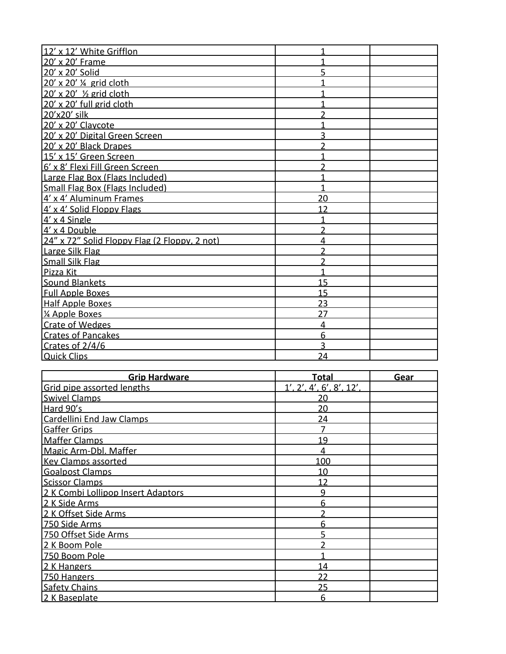| 12' x 12' White Grifflon                      |    |  |
|-----------------------------------------------|----|--|
| 20' x 20' Frame                               |    |  |
| 20' x 20' Solid                               |    |  |
| 20' x 20' 1/4 grid cloth                      |    |  |
| 20' x 20' 1/2 grid cloth                      |    |  |
| 20' x 20' full grid cloth                     |    |  |
| 20'x20' silk                                  |    |  |
| 20' x 20' Claycote                            |    |  |
| 20' x 20' Digital Green Screen                |    |  |
| 20' x 20' Black Drapes                        |    |  |
| 15' x 15' Green Screen                        |    |  |
| 6' x 8' Flexi Fill Green Screen               |    |  |
| Large Flag Box (Flags Included)               |    |  |
| Small Flag Box (Flags Included)               |    |  |
| 4' x 4' Aluminum Frames                       | 20 |  |
| 4' x 4' Solid Floppy Flags                    | 12 |  |
| $4' \times 4$ Single                          |    |  |
| 4' x 4 Double                                 | າ  |  |
| 24" x 72" Solid Floppy Flag (2 Floppy, 2 not) | 4  |  |
| Large Silk Flag                               |    |  |
| <b>Small Silk Flag</b>                        |    |  |
| Pizza Kit                                     |    |  |
| Sound Blankets                                | 15 |  |
| <b>Full Apple Boxes</b>                       | 15 |  |
| <b>Half Apple Boxes</b>                       | 23 |  |
| 1/4 Apple Boxes                               | 27 |  |
| Crate of Wedges                               | 4  |  |
| <b>Crates of Pancakes</b>                     | 6  |  |
| Crates of 2/4/6                               | 3  |  |
| <b>Quick Clips</b>                            | 24 |  |

| <b>Grip Hardware</b>               | Total                    | Gear |
|------------------------------------|--------------------------|------|
| Grid pipe assorted lengths         | 1', 2', 4', 6', 8', 12', |      |
| <b>Swivel Clamps</b>               | 20                       |      |
| Hard 90's                          | 20                       |      |
| Cardellini End Jaw Clamps          | 24                       |      |
| <b>Gaffer Grips</b>                |                          |      |
| <b>Maffer Clamps</b>               | 19                       |      |
| Magic Arm-Dbl. Maffer              |                          |      |
| <b>Key Clamps assorted</b>         | 100                      |      |
| <b>Goalpost Clamps</b>             | 10                       |      |
| <b>Scissor Clamps</b>              | 12                       |      |
| 2 K Combi Lollipop Insert Adaptors | 9                        |      |
| 2 K Side Arms                      | 6                        |      |
| 2 K Offset Side Arms               | າ                        |      |
| 750 Side Arms                      | 6                        |      |
| 750 Offset Side Arms               |                          |      |
| 2 K Boom Pole                      |                          |      |
| 750 Boom Pole                      |                          |      |
| 2 K Hangers                        | 14                       |      |
| 750 Hangers                        | 22                       |      |
| <b>Safety Chains</b>               | 25                       |      |
| 2 K Baseplate                      | հ                        |      |